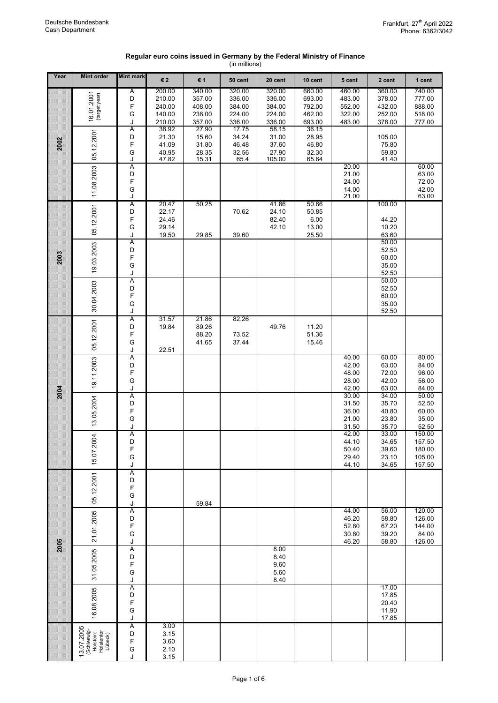## **Regular euro coins issued in Germany by the Federal Ministry of Finance** (in millions)

| Year | <b>Mint order</b>                                              | <b>Mint mark</b> | €2             | € 1            | 50 cent        | 20 cent        | 10 cent        | 5 cent         | 2 cent         | 1 cent           |
|------|----------------------------------------------------------------|------------------|----------------|----------------|----------------|----------------|----------------|----------------|----------------|------------------|
|      |                                                                | $\overline{A}$   | 200.00         | 340.00         | 320.00         | 320.00         | 660.00         | 460.00         | 360.00         | 740.00           |
|      | 16.01.2001<br>(target year)                                    | D                | 210.00         | 357.00         | 336.00         | 336.00         | 693.00         | 483.00         | 378.00         | 777.00           |
|      |                                                                | F                | 240.00         | 408.00         | 384.00         | 384.00         | 792.00         | 552.00         | 432.00         | 888.00           |
|      |                                                                | G                | 140.00         | 238.00         | 224.00         | 224.00         | 462.00         | 322.00         | 252.00         | 518.00           |
|      |                                                                | J                | 210.00         | 357.00         | 336.00         | 336.00         | 693.00         | 483.00         | 378.00         | 777.00           |
|      |                                                                | A<br>D           | 38.92<br>21.30 | 27.90<br>15.60 | 17.75<br>34.24 | 58.15<br>31.00 | 36.15<br>28.95 |                | 105.00         |                  |
| 2002 | 05.12.2001                                                     | F                | 41.09          | 31.80          | 46.48          | 37.60          | 46.80          |                | 75.80          |                  |
|      |                                                                | G                | 40.95          | 28.35          | 32.56          | 27.90          | 32.30          |                | 59.80          |                  |
|      |                                                                | J                | 47.82          | 15.31          | 65.4           | 105.00         | 65.64          |                | 41.40          |                  |
|      | 11.08.2003                                                     | Α                |                |                |                |                |                | 20.00          |                | 60.00            |
|      |                                                                | D<br>F           |                |                |                |                |                | 21.00<br>24.00 |                | 63.00<br>72.00   |
|      |                                                                | G                |                |                |                |                |                |                |                | 42.00            |
|      |                                                                | J                |                |                |                |                |                | 14.00<br>21.00 |                | 63.00            |
|      |                                                                | Α                | 20.47          | 50.25          |                | 41.86          | 50.66          |                | 100.00         |                  |
|      | 05.12.2001                                                     | D                | 22.17          |                | 70.62          | 24.10          | 50.85          |                |                |                  |
|      |                                                                | F<br>G           | 24.46<br>29.14 |                |                | 82.40<br>42.10 | 6.00<br>13.00  |                | 44.20<br>10.20 |                  |
|      |                                                                | J                | 19.50          | 29.85          | 39.60          |                | 25.50          |                | 63.60          |                  |
|      |                                                                | A                |                |                |                |                |                |                | 50.00          |                  |
|      |                                                                | D                |                |                |                |                |                |                | 52.50          |                  |
| 2003 |                                                                | F                |                |                |                |                |                |                | 60.00          |                  |
|      | 19.03.2003                                                     | G                |                |                |                |                |                |                | 35.00          |                  |
|      |                                                                | J<br>Ā           |                |                |                |                |                |                | 52.50<br>50.00 |                  |
|      |                                                                | D                |                |                |                |                |                |                | 52.50          |                  |
|      |                                                                | F                |                |                |                |                |                |                | 60.00          |                  |
|      | 30.04.2003                                                     | G                |                |                |                |                |                |                | 35.00          |                  |
|      |                                                                | J                |                |                |                |                |                |                | 52.50          |                  |
|      | 05.12.2001                                                     | Α<br>D           | 31.57<br>19.84 | 21.86<br>89.26 | 82.26          | 49.76          | 11.20          |                |                |                  |
|      |                                                                | F                |                | 88.20          | 73.52          |                | 51.36          |                |                |                  |
|      |                                                                | G                |                | 41.65          | 37.44          |                | 15.46          |                |                |                  |
|      |                                                                | J                | 22.51          |                |                |                |                |                |                |                  |
|      |                                                                | A                |                |                |                |                |                | 40.00          | 60.00          | 80.00            |
|      |                                                                | D<br>F           |                |                |                |                |                | 42.00          | 63.00          | 84.00            |
|      | 19.11.2003                                                     | G                |                |                |                |                |                | 48.00<br>28.00 | 72.00<br>42.00 | 96.00<br>56.00   |
|      |                                                                | J                |                |                |                |                |                | 42.00          | 63.00          | 84.00            |
| 2004 |                                                                | Ā                |                |                |                |                |                | 30.00          | 34.00          | 50.00            |
|      |                                                                | D                |                |                |                |                |                | 31.50          | 35.70          | 52.50            |
|      |                                                                | F                |                |                |                |                |                | 36.00          | 40.80          | 60.00            |
|      | 13.05.2004                                                     | G<br>J           |                |                |                |                |                | 21.00<br>31.50 | 23.80<br>35.70 | 35.00<br>52.50   |
|      |                                                                | Α                |                |                |                |                |                | 42.00          | 33.00          | 150.00           |
|      | 15.07.2004                                                     | D                |                |                |                |                |                | 44.10          | 34.65          | 157.50           |
|      |                                                                | F                |                |                |                |                |                | 50.40          | 39.60          | 180.00           |
|      |                                                                | G                |                |                |                |                |                | 29.40          | 23.10          | 105.00           |
|      |                                                                | J                |                |                |                |                |                | 44.10          | 34.65          | 157.50           |
|      | 05.12.2001                                                     | Α<br>D           |                |                |                |                |                |                |                |                  |
|      |                                                                | F                |                |                |                |                |                |                |                |                  |
|      |                                                                | G                |                |                |                |                |                |                |                |                  |
|      |                                                                | J                |                | 59.84          |                |                |                |                |                |                  |
|      | 21.01.2005                                                     | Ā                |                |                |                |                |                | 44.00          | 56.00          | 120.00           |
|      |                                                                | D<br>F           |                |                |                |                |                | 46.20<br>52.80 | 58.80<br>67.20 | 126.00<br>144.00 |
|      |                                                                | G                |                |                |                |                |                | 30.80          | 39.20          | 84.00            |
| 2005 |                                                                | J                |                |                |                |                |                | 46.20          | 58.80          | 126.00           |
|      |                                                                | Ā                |                |                |                | 8.00           |                |                |                |                  |
|      |                                                                | D<br>F           |                |                |                | 8.40           |                |                |                |                  |
|      | 31.05.2005                                                     | G                |                |                |                | 9.60<br>5.60   |                |                |                |                  |
|      |                                                                | J                |                |                |                | 8.40           |                |                |                |                  |
|      |                                                                | Ā                |                |                |                |                |                |                | 17.00          |                  |
|      | 16.08.2005                                                     | D                |                |                |                |                |                |                | 17.85          |                  |
|      |                                                                | F                |                |                |                |                |                |                | 20.40          |                  |
|      |                                                                | G<br>J           |                |                |                |                |                |                | 11.90<br>17.85 |                  |
|      |                                                                | Α                | 3.00           |                |                |                |                |                |                |                  |
|      | 3.07.2005<br>(Schleswig-<br>Holstein:<br>Holstentor<br>Lübeck) | D                | 3.15           |                |                |                |                |                |                |                  |
|      |                                                                | F                | 3.60           |                |                |                |                |                |                |                  |
|      |                                                                | G                | 2.10           |                |                |                |                |                |                |                  |
|      |                                                                | J                | 3.15           |                |                |                |                |                |                |                  |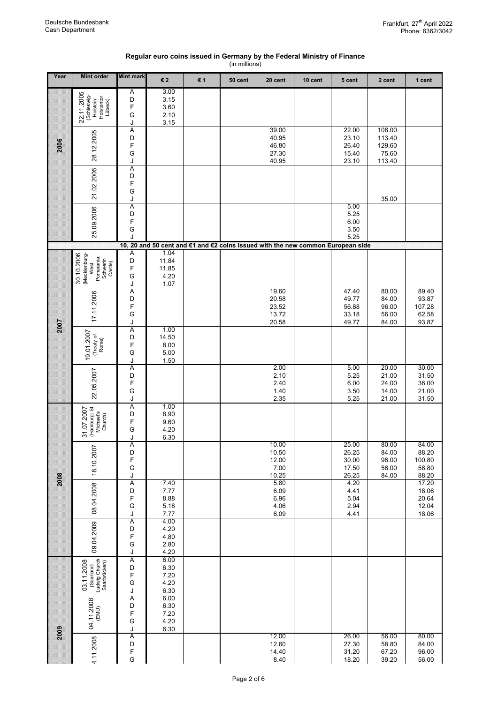| Regular euro coins issued in Germany by the Federal Ministry of Finance |
|-------------------------------------------------------------------------|
| (in millions)                                                           |

| Year | <b>Mint order</b>                                               | <b>Mint mark</b>                      | €2            | € 1 | 50 cent                                                                         | 20 cent        | 10 cent | 5 cent         | 2 cent           | 1 cent          |
|------|-----------------------------------------------------------------|---------------------------------------|---------------|-----|---------------------------------------------------------------------------------|----------------|---------|----------------|------------------|-----------------|
|      |                                                                 | Α<br>D                                | 3.00<br>3.15  |     |                                                                                 |                |         |                |                  |                 |
|      | 22.11.2005<br>(Schleswig-<br>Holstein:<br>Holstentor<br>Lübeck) | F<br>G                                | 3.60          |     |                                                                                 |                |         |                |                  |                 |
|      |                                                                 | J                                     | 2.10<br>3.15  |     |                                                                                 |                |         |                |                  |                 |
|      |                                                                 | A<br>D                                |               |     |                                                                                 | 39.00<br>40.95 |         | 22.00<br>23.10 | 108.00<br>113.40 |                 |
| 2006 | 28.12.2005                                                      | F<br>G                                |               |     |                                                                                 | 46.80<br>27.30 |         | 26.40<br>15.40 | 129.60<br>75.60  |                 |
|      |                                                                 | J<br>Ā                                |               |     |                                                                                 | 40.95          |         | 23.10          | 113.40           |                 |
|      | 21.02.2006                                                      | D                                     |               |     |                                                                                 |                |         |                |                  |                 |
|      |                                                                 | F<br>G                                |               |     |                                                                                 |                |         |                |                  |                 |
|      |                                                                 | J<br>Ā                                |               |     |                                                                                 |                |         | 5.00           | 35.00            |                 |
|      |                                                                 | D<br>F                                |               |     |                                                                                 |                |         | 5.25<br>6.00   |                  |                 |
|      | 25.09.2006                                                      | G<br>J                                |               |     |                                                                                 |                |         | 3.50<br>5.25   |                  |                 |
|      |                                                                 |                                       |               |     | 10, 20 and 50 cent and €1 and €2 coins issued with the new common European side |                |         |                |                  |                 |
|      | 30.10.2006<br>(Mecklenburg-                                     | Α<br>D                                | 1.04<br>11.84 |     |                                                                                 |                |         |                |                  |                 |
|      | Pomerania:<br>Schwerin<br>Castle)<br>West                       | F<br>G                                | 11.85<br>4.20 |     |                                                                                 |                |         |                |                  |                 |
|      |                                                                 | J                                     | 1.07          |     |                                                                                 | 19.60          |         | 47.40          | 80.00            | 89.40           |
|      | 17.11.2006                                                      | Α<br>D                                |               |     |                                                                                 | 20.58          |         | 49.77          | 84.00            | 93.87           |
|      |                                                                 | F<br>G                                |               |     |                                                                                 | 23.52<br>13.72 |         | 56.88<br>33.18 | 96.00<br>56.00   | 107.28<br>62.58 |
| 2007 |                                                                 | J<br>$\overline{A}$                   | 1.00          |     |                                                                                 | 20.58          |         | 49.77          | 84.00            | 93.87           |
|      | (Treaty of<br>Rome)                                             | D<br>F                                | 14.50<br>8.00 |     |                                                                                 |                |         |                |                  |                 |
|      | 19.01.2007                                                      | G                                     | 5.00          |     |                                                                                 |                |         |                |                  |                 |
|      |                                                                 | J<br>Α                                | 1.50          |     |                                                                                 | 2.00           |         | 5.00           | 20.00            | 30.00           |
|      | 22.05.2007                                                      | D<br>F                                |               |     |                                                                                 | 2.10<br>2.40   |         | 5.25<br>6.00   | 21.00<br>24.00   | 31.50<br>36.00  |
|      |                                                                 | G<br>J                                |               |     |                                                                                 | 1.40<br>2.35   |         | 3.50<br>5.25   | 14.00<br>21.00   | 21.00<br>31.50  |
|      |                                                                 | Α<br>D                                | 1.00<br>8.90  |     |                                                                                 |                |         |                |                  |                 |
|      | (Hamburg: St)<br>Michael's<br>Church)<br>31.07.2007             | F                                     | 9.60          |     |                                                                                 |                |         |                |                  |                 |
|      |                                                                 | G<br>J                                | 4.20<br>6.30  |     |                                                                                 |                |         |                |                  |                 |
|      |                                                                 | A<br>D                                |               |     |                                                                                 | 10.00<br>10.50 |         | 25.00<br>26.25 | 80.00<br>84.00   | 84.00<br>88.20  |
|      | 18.10.2007                                                      | F<br>G                                |               |     |                                                                                 | 12.00<br>7.00  |         | 30.00<br>17.50 | 96.00<br>56.00   | 100.80<br>58.80 |
| 2008 |                                                                 | J<br>Α                                | 7.40          |     |                                                                                 | 10.25<br>5.80  |         | 26.25<br>4.20  | 84.00            | 88.20<br>17.20  |
|      | 08.04.2008                                                      | D<br>F                                | 7.77<br>8.88  |     |                                                                                 | 6.09<br>6.96   |         | 4.41<br>5.04   |                  | 18.06<br>20.64  |
|      |                                                                 | G                                     | 5.18          |     |                                                                                 | 4.06           |         | 2.94           |                  | 12.04           |
|      |                                                                 | J<br>Α                                | 7.77<br>4.00  |     |                                                                                 | 6.09           |         | 4.41           |                  | 18.06           |
|      |                                                                 | D<br>F                                | 4.20<br>4.80  |     |                                                                                 |                |         |                |                  |                 |
|      | 09.04.2009                                                      | G<br>J                                | 2.80<br>4.20  |     |                                                                                 |                |         |                |                  |                 |
|      |                                                                 | Α                                     | 6.00          |     |                                                                                 |                |         |                |                  |                 |
|      | 03.11.2008<br>(Saarland:<br>Ludwig Church<br>Saarbrücken)       | $\begin{array}{c} \n\end{array}$<br>F | 6.30<br>7.20  |     |                                                                                 |                |         |                |                  |                 |
|      |                                                                 | G<br>J                                | 4.20<br>6.30  |     |                                                                                 |                |         |                |                  |                 |
|      |                                                                 | A                                     | 6.00<br>6.30  |     |                                                                                 |                |         |                |                  |                 |
|      | 04.11.2008<br>(EMU)                                             | D<br>F<br>G                           | 7.20<br>4.20  |     |                                                                                 |                |         |                |                  |                 |
| 2009 |                                                                 | J                                     | 6.30          |     |                                                                                 | 12.00          |         | 26.00          | 56.00            | 80.00           |
|      | 4.11.2008                                                       | Α<br>D                                |               |     |                                                                                 | 12.60          |         | 27.30          | 58.80            | 84.00           |
|      |                                                                 | F<br>G                                |               |     |                                                                                 | 14.40<br>8.40  |         | 31.20<br>18.20 | 67.20<br>39.20   | 96.00<br>56.00  |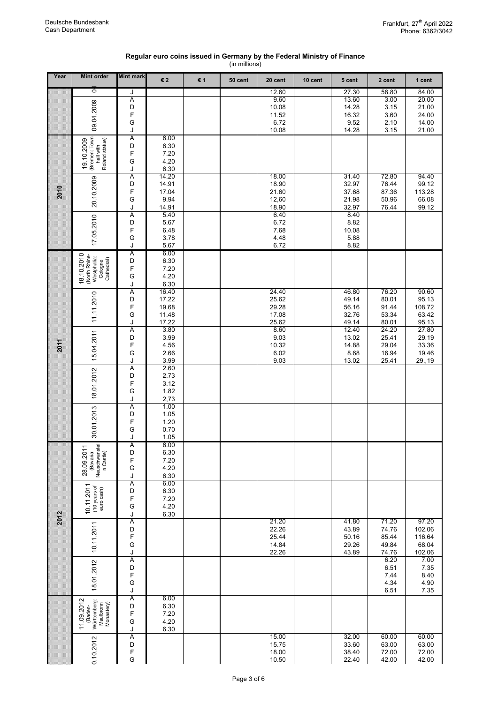| Regular euro coins issued in Germany by the Federal Ministry of Finance |
|-------------------------------------------------------------------------|
| (in millions)                                                           |

| Year | <b>Mint order</b>                                                   | <b>Mint mark</b>    | €2             | € 1 | 50 cent | 20 cent        | 10 cent | 5 cent         | 2 cent         | 1 cent           |
|------|---------------------------------------------------------------------|---------------------|----------------|-----|---------|----------------|---------|----------------|----------------|------------------|
|      | ò                                                                   | J                   |                |     |         | 12.60          |         | 27.30          | 58.80          | 84.00            |
|      |                                                                     | Α                   |                |     |         | 9.60           |         | 13.60          | 3.00           | 20.00            |
|      | 09.04.2009                                                          | D<br>F              |                |     |         | 10.08<br>11.52 |         | 14.28<br>16.32 | 3.15<br>3.60   | 21.00<br>24.00   |
|      |                                                                     | G                   |                |     |         | 6.72           |         | 9.52           | 2.10           | 14.00            |
|      |                                                                     | J                   |                |     |         | 10.08          |         | 14.28          | 3.15           | 21.00            |
|      | (Bremen: Town<br>hall with<br>Roland statue)                        | A<br>D              | 6.00           |     |         |                |         |                |                |                  |
|      | 19.10.2009                                                          | F                   | 6.30<br>7.20   |     |         |                |         |                |                |                  |
|      |                                                                     | G                   | 4.20           |     |         |                |         |                |                |                  |
|      |                                                                     | J                   | 6.30           |     |         |                |         |                |                |                  |
|      | 20.10.2009                                                          | Ā<br>D              | 14.20<br>14.91 |     |         | 18.00<br>18.90 |         | 31.40<br>32.97 | 72.80<br>76.44 | 94.40<br>99.12   |
| 2010 |                                                                     | F                   | 17.04          |     |         | 21.60          |         | 37.68          | 87.36          | 113.28           |
|      |                                                                     | G                   | 9.94           |     |         | 12,60          |         | 21.98          | 50.96          | 66.08            |
|      |                                                                     | J<br>$\overline{A}$ | 14.91<br>5.40  |     |         | 18.90<br>6.40  |         | 32.97<br>8.40  | 76.44          | 99.12            |
|      | 17.05.2010                                                          | D                   | 5.67           |     |         | 6.72           |         | 8.82           |                |                  |
|      |                                                                     | F                   | 6.48           |     |         | 7.68           |         | 10.08          |                |                  |
|      |                                                                     | G                   | 3.78           |     |         | 4.48           |         | 5.88           |                |                  |
|      |                                                                     | J<br>A              | 5.67<br>6.00   |     |         | 6.72           |         | 8.82           |                |                  |
|      | 18.10.2010<br>(North Rhine-<br>Westphalia:<br>Cologne<br>Cathedral) | D                   | 6.30           |     |         |                |         |                |                |                  |
|      |                                                                     | F                   | 7.20           |     |         |                |         |                |                |                  |
|      |                                                                     | G<br>J              | 4.20<br>6.30   |     |         |                |         |                |                |                  |
|      |                                                                     | Ā                   | 16.40          |     |         | 24.40          |         | 46.80          | 76.20          | 90.60            |
|      | 11.11.2010                                                          | D                   | 17.22          |     |         | 25.62          |         | 49.14          | 80.01          | 95.13            |
|      |                                                                     | F<br>G              | 19.68          |     |         | 29.28<br>17.08 |         | 56.16<br>32.76 | 91.44<br>53.34 | 108.72<br>63.42  |
|      |                                                                     | J                   | 11.48<br>17.22 |     |         | 25.62          |         | 49.14          | 80.01          | 95.13            |
|      |                                                                     | $\overline{A}$      | 3.80           |     |         | 8.60           |         | 12.40          | 24.20          | 27.80            |
|      | 15.04.2011                                                          | D                   | 3.99           |     |         | 9.03           |         | 13.02          | 25.41          | 29.19            |
| 2011 |                                                                     | F<br>G              | 4.56<br>2.66   |     |         | 10.32<br>6.02  |         | 14.88<br>8.68  | 29.04<br>16.94 | 33.36<br>19.46   |
|      |                                                                     | J                   | 3.99           |     |         | 9.03           |         | 13.02          | 25.41          | 29.,19           |
|      |                                                                     | Α                   | 2.60           |     |         |                |         |                |                |                  |
|      |                                                                     | D<br>F              | 2.73<br>3.12   |     |         |                |         |                |                |                  |
|      | 18.01.2012                                                          | G                   | 1.82           |     |         |                |         |                |                |                  |
|      |                                                                     | J                   | 2,73           |     |         |                |         |                |                |                  |
|      |                                                                     | $\overline{A}$<br>D | 1.00<br>1.05   |     |         |                |         |                |                |                  |
|      |                                                                     | F                   | 1.20           |     |         |                |         |                |                |                  |
|      | 30.01.2013                                                          | G                   | 0.70           |     |         |                |         |                |                |                  |
|      |                                                                     | J                   | 1.05           |     |         |                |         |                |                |                  |
|      | (Bavaria:<br>Neuschwanstei<br>n Castle)<br>28.09.2011               | A<br>D              | 6.00<br>6.30   |     |         |                |         |                |                |                  |
|      |                                                                     | F                   | 7.20           |     |         |                |         |                |                |                  |
|      |                                                                     | G                   | 4.20           |     |         |                |         |                |                |                  |
|      |                                                                     | J<br>Α              | 6.30<br>6.00   |     |         |                |         |                |                |                  |
|      | 10.11.2011<br>(10 years of<br>euro cash)                            | D                   | 6.30           |     |         |                |         |                |                |                  |
|      |                                                                     | F<br>G              | 7.20<br>4.20   |     |         |                |         |                |                |                  |
|      |                                                                     | J                   | 6.30           |     |         |                |         |                |                |                  |
| 2012 |                                                                     | A                   |                |     |         | 21.20          |         | 41.80          | 71.20          | 97.20            |
|      |                                                                     | D<br>F              |                |     |         | 22.26<br>25.44 |         | 43.89<br>50.16 | 74.76<br>85.44 | 102.06<br>116.64 |
|      | 10.11.2011                                                          | G                   |                |     |         | 14.84          |         | 29.26          | 49.84          | 68.04            |
|      |                                                                     | J                   |                |     |         | 22.26          |         | 43.89          | 74.76          | 102.06           |
|      |                                                                     | Ā                   |                |     |         |                |         |                | 6.20<br>6.51   | 7.00<br>7.35     |
|      |                                                                     | D<br>F              |                |     |         |                |         |                | 7.44           | 8.40             |
|      | 18.01.2012                                                          | G                   |                |     |         |                |         |                | 4.34           | 4.90             |
|      |                                                                     | J<br>Α              | 6.00           |     |         |                |         |                | 6.51           | 7.35             |
|      | 11.09.2012<br>Württemberg:<br>Maulbronn<br>Monastery)               | D                   | 6.30           |     |         |                |         |                |                |                  |
|      | (Baden-                                                             | F                   | 7.20           |     |         |                |         |                |                |                  |
|      |                                                                     | G<br>J              | 4.20<br>6.30   |     |         |                |         |                |                |                  |
|      |                                                                     | Ā                   |                |     |         | 15.00          |         | 32.00          | 60.00          | 60.00            |
|      | 0.10.2012                                                           | D                   |                |     |         | 15.75          |         | 33.60          | 63.00          | 63.00            |
|      |                                                                     | F<br>G              |                |     |         | 18.00<br>10.50 |         | 38.40<br>22.40 | 72.00<br>42.00 | 72.00<br>42.00   |
|      |                                                                     |                     |                |     |         |                |         |                |                |                  |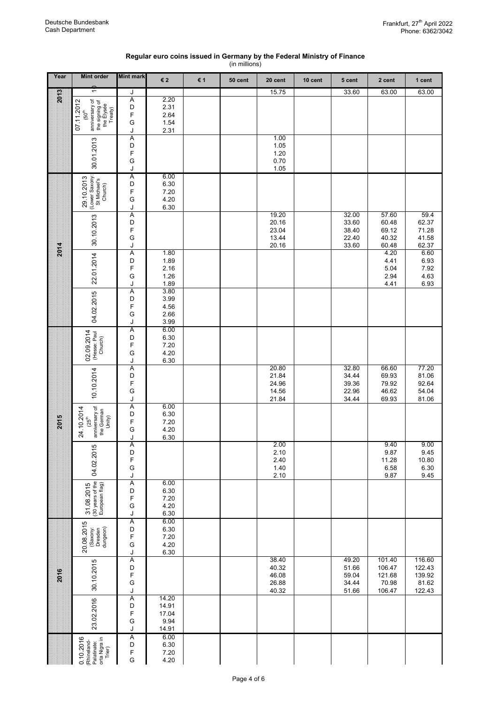## **Regular euro coins issued in Germany by the Federal Ministry of Finance**

|  | (in millions) |  |
|--|---------------|--|
|--|---------------|--|

| Year | <b>Mint order</b>                                                                              | <b>Mint mark</b>                                     | €2                                       | € 1 | 50 cent | 20 cent                                   | 10 cent | 5 cent                                    | 2 cent                                        | 1 cent                                        |
|------|------------------------------------------------------------------------------------------------|------------------------------------------------------|------------------------------------------|-----|---------|-------------------------------------------|---------|-------------------------------------------|-----------------------------------------------|-----------------------------------------------|
| 2013 | ↽                                                                                              | J                                                    |                                          |     |         | 15.75                                     |         | 33.60                                     | 63.00                                         | 63.00                                         |
|      | anniversary of<br>07.11.2012<br>the signing of<br>the Elysée<br>Treaty)<br>(50 <sup>th</sup> ) | Ā<br>D<br>F<br>G<br>J                                | 2.20<br>2.31<br>2.64<br>1.54<br>2.31     |     |         |                                           |         |                                           |                                               |                                               |
|      | 30.01.2013                                                                                     | Α<br>D<br>F<br>G                                     |                                          |     |         | 1.00<br>1.05<br>1.20<br>0.70              |         |                                           |                                               |                                               |
|      | (Lower Saxony:<br>St Michael's<br>Church)<br>29.10.2013                                        | J<br>Α<br>D<br>F<br>G                                | 6.00<br>6.30<br>7.20<br>4.20             |     |         | 1.05                                      |         |                                           |                                               |                                               |
|      | 30.10.2013                                                                                     | J<br>Ā<br>D<br>F<br>G<br>J                           | 6.30                                     |     |         | 19.20<br>20.16<br>23.04<br>13.44<br>20.16 |         | 32.00<br>33.60<br>38.40<br>22.40<br>33.60 | 57.60<br>60.48<br>69.12<br>40.32<br>60.48     | 59.4<br>62.37<br>71.28<br>41.58<br>62.37      |
| 2014 | 22.01.2014                                                                                     | Α<br>D<br>F<br>G<br>J                                | 1.80<br>1.89<br>2.16<br>1.26<br>1.89     |     |         |                                           |         |                                           | 4.20<br>4.41<br>5.04<br>2.94<br>4.41          | 6.60<br>6.93<br>7.92<br>4.63<br>6.93          |
|      | 04.02.2015                                                                                     | A<br>D<br>F<br>G<br>J                                | 3.80<br>3.99<br>4.56<br>2.66<br>3.99     |     |         |                                           |         |                                           |                                               |                                               |
|      | 02.09.2014<br>(Hesse: Paul<br>Church)                                                          | Α<br>D<br>F<br>G<br>J                                | 6.00<br>6.30<br>7.20<br>4.20<br>6.30     |     |         |                                           |         |                                           |                                               |                                               |
|      | 10.10.2014                                                                                     | Α<br>D<br>F<br>G<br>J                                |                                          |     |         | 20.80<br>21.84<br>24.96<br>14.56<br>21.84 |         | 32.80<br>34.44<br>39.36<br>22.96<br>34.44 | 66.60<br>69.93<br>79.92<br>46.62<br>69.93     | 77.20<br>81.06<br>92.64<br>54.04<br>81.06     |
| 2015 | anniversary of<br>the German<br>Unity)<br>24.10.2014<br>(25 <sup>th</sup> )                    | Ā<br>D<br>F<br>G<br>J                                | 6.00<br>6.30<br>7.20<br>4.20<br>6.30     |     |         |                                           |         |                                           |                                               |                                               |
|      | 04.02.2015                                                                                     | Ā<br>D<br>F<br>G<br>J                                |                                          |     |         | 2.00<br>2.10<br>2.40<br>1.40<br>2.10      |         |                                           | 9.40<br>9.87<br>11.28<br>6.58<br>9.87         | 9.00<br>9.45<br>10.80<br>6.30<br>9.45         |
|      | 31.08.2015<br>(30 years of the<br>European flag)                                               | Α<br>D<br>F<br>G<br>J                                | 6.00<br>6.30<br>7.20<br>4.20<br>6.30     |     |         |                                           |         |                                           |                                               |                                               |
|      | 20.08.2015<br>(Saxony:<br>Dresden<br>dungeon)                                                  | Α<br>D<br>F<br>G<br>J                                | 6.00<br>6.30<br>7.20<br>4.20<br>6.30     |     |         |                                           |         |                                           |                                               |                                               |
| 2016 | 30.10.2015                                                                                     | Ā<br>D<br>F<br>G<br>J                                |                                          |     |         | 38.40<br>40.32<br>46.08<br>26.88<br>40.32 |         | 49.20<br>51.66<br>59.04<br>34.44<br>51.66 | 101.40<br>106.47<br>121.68<br>70.98<br>106.47 | 116.60<br>122.43<br>139.92<br>81.62<br>122.43 |
|      | 23.02.2016                                                                                     | A<br>$\begin{array}{c} \n\end{array}$<br>F<br>G<br>J | 14.20<br>14.91<br>17.04<br>9.94<br>14.91 |     |         |                                           |         |                                           |                                               |                                               |
|      | 0.10.2016<br>[Rhineland-<br>Palatinate:<br>orta Nigra in<br>Trier)                             | Ā<br>D<br>F<br>G                                     | 6.00<br>6.30<br>7.20<br>4.20             |     |         |                                           |         |                                           |                                               |                                               |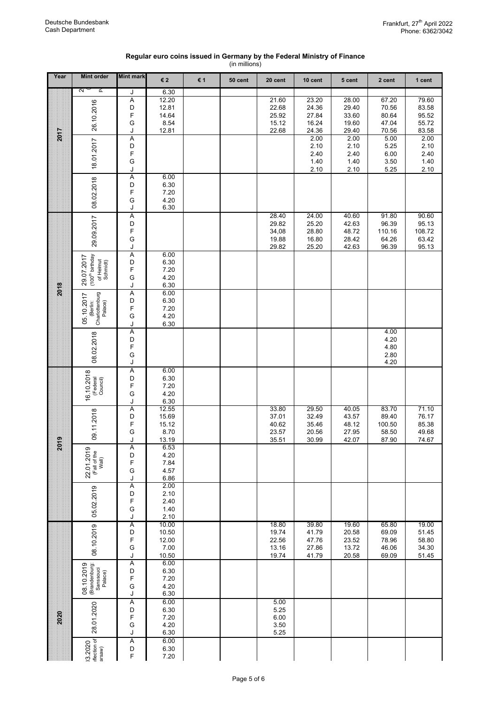| Regular euro coins issued in Germany by the Federal Ministry of Finance |  |
|-------------------------------------------------------------------------|--|
| (in millions)                                                           |  |

|      |                                                                    |                            |                                                  |     | (in millions) |                                           |                                           |                                           |                                            |                                            |
|------|--------------------------------------------------------------------|----------------------------|--------------------------------------------------|-----|---------------|-------------------------------------------|-------------------------------------------|-------------------------------------------|--------------------------------------------|--------------------------------------------|
| Year | <b>Mint order</b>                                                  | <b>Mint mark</b>           | €2                                               | € 1 | 50 cent       | 20 cent                                   | 10 cent                                   | 5 cent                                    | 2 cent                                     | 1 cent                                     |
| 2017 | 2<br>ρ<br>26.10.2016                                               | J<br>Α<br>D<br>F<br>G<br>J | 6.30<br>12.20<br>12.81<br>14.64<br>8.54<br>12.81 |     |               | 21.60<br>22.68<br>25.92<br>15.12<br>22.68 | 23.20<br>24.36<br>27.84<br>16.24<br>24.36 | 28.00<br>29.40<br>33.60<br>19.60<br>29.40 | 67.20<br>70.56<br>80.64<br>47.04<br>70.56  | 79.60<br>83.58<br>95.52<br>55.72<br>83.58  |
|      | 18.01.2017                                                         | Α<br>D<br>F<br>G<br>J<br>Α | 6.00                                             |     |               |                                           | 2.00<br>2.10<br>2.40<br>1.40<br>2.10      | 2.00<br>2.10<br>2.40<br>1.40<br>2.10      | 5.00<br>5.25<br>6.00<br>3.50<br>5.25       | 2.00<br>2.10<br>2.40<br>1.40<br>2.10       |
|      | 08.02.2018                                                         | D<br>F<br>G<br>J           | 6.30<br>7.20<br>4.20<br>6.30                     |     |               |                                           |                                           |                                           |                                            |                                            |
|      | 29.09.2017                                                         | A<br>D<br>F<br>G<br>J      |                                                  |     |               | 28.40<br>29.82<br>34,08<br>19.88<br>29.82 | 24.00<br>25.20<br>28.80<br>16.80<br>25.20 | 40.60<br>42.63<br>48.72<br>28.42<br>42.63 | 91.80<br>96.39<br>110.16<br>64.26<br>96.39 | 90.60<br>95.13<br>108.72<br>63.42<br>95.13 |
| 2018 | (100 <sup>th</sup> birthday<br>29.07.2017<br>of Helmut<br>Schmidt) | Α<br>D<br>F<br>G<br>J      | 6.00<br>6.30<br>7.20<br>4.20<br>6.30             |     |               |                                           |                                           |                                           |                                            |                                            |
|      | Charlottenburg<br>Palace)<br>05.10.2017<br>(Berlin:                | Α<br>D<br>F<br>G<br>J      | 6.00<br>6.30<br>7.20<br>4.20<br>6.30             |     |               |                                           |                                           |                                           |                                            |                                            |
|      | 08.02.2018                                                         | Ā<br>D<br>F<br>G<br>J      |                                                  |     |               |                                           |                                           |                                           | 4.00<br>4.20<br>4.80<br>2.80<br>4.20       |                                            |
|      | 16.10.2018<br>(Federal<br>Council)                                 | A<br>D<br>F<br>G<br>J      | 6.00<br>6.30<br>7.20<br>4.20<br>6.30             |     |               |                                           |                                           |                                           |                                            |                                            |
| 2019 | 09.11.2018                                                         | Α<br>D<br>F<br>G<br>J      | 12.55<br>15.69<br>15.12<br>8.70<br>13.19         |     |               | 33.80<br>37.01<br>40.62<br>23.57<br>35.51 | 29.50<br>32.49<br>35.46<br>20.56<br>30.99 | 40.05<br>43.57<br>48.12<br>27.95<br>42.07 | 83.70<br>89.40<br>100.50<br>58.50<br>87.90 | 71.10<br>76.17<br>85.38<br>49.68<br>74.67  |
|      | თ<br>(Fall of the<br>Wall)<br>22.01.201                            | A<br>D<br>F<br>G<br>J      | 6.53<br>4.20<br>7.84<br>4.57<br>6.86             |     |               |                                           |                                           |                                           |                                            |                                            |
|      | 05.02.2019                                                         | Ā<br>D<br>F<br>G<br>J      | 2.00<br>2.10<br>2.40<br>1.40<br>2.10             |     |               |                                           |                                           |                                           |                                            |                                            |
|      | 08.10.2019                                                         | Α<br>D<br>F<br>G<br>J      | 10.00<br>10.50<br>12.00<br>7.00<br>10.50         |     |               | 18.80<br>19.74<br>22.56<br>13.16<br>19.74 | 39.80<br>41.79<br>47.76<br>27.86<br>41.79 | 19.60<br>20.58<br>23.52<br>13.72<br>20.58 | 65.80<br>69.09<br>78.96<br>46.06<br>69.09  | 19.00<br>51.45<br>58.80<br>34.30<br>51.45  |
| 2020 | 08.10.2019<br>(Brandenburg:<br>Sanssouci<br>Palace)                | Α<br>D<br>F<br>G<br>J      | 6.00<br>6.30<br>7.20<br>4.20<br>6.30             |     |               |                                           |                                           |                                           |                                            |                                            |
|      | 28.01.2020                                                         | A<br>D<br>F<br>G<br>J      | 6.00<br>6.30<br>7.20<br>4.20<br>6.30             |     |               | 5.00<br>5.25<br>6.00<br>3.50<br>5.25      |                                           |                                           |                                            |                                            |
|      | 13.2020<br>flection of<br>arsaw)                                   | Ā<br>D<br>F                | 6.00<br>6.30<br>7.20                             |     |               |                                           |                                           |                                           |                                            |                                            |